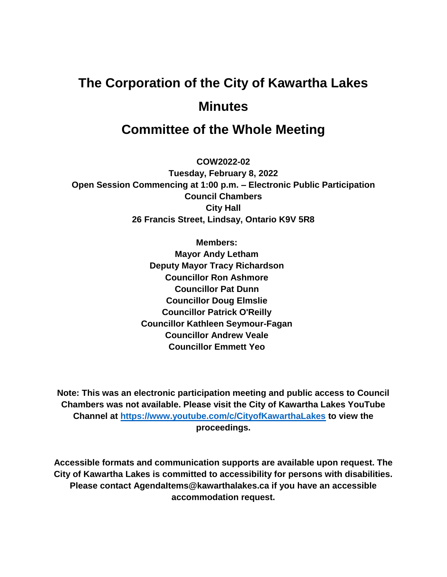# **The Corporation of the City of Kawartha Lakes Minutes**

# **Committee of the Whole Meeting**

**COW2022-02 Tuesday, February 8, 2022 Open Session Commencing at 1:00 p.m. – Electronic Public Participation Council Chambers City Hall 26 Francis Street, Lindsay, Ontario K9V 5R8**

> **Members: Mayor Andy Letham Deputy Mayor Tracy Richardson Councillor Ron Ashmore Councillor Pat Dunn Councillor Doug Elmslie Councillor Patrick O'Reilly Councillor Kathleen Seymour-Fagan Councillor Andrew Veale Councillor Emmett Yeo**

**Note: This was an electronic participation meeting and public access to Council Chambers was not available. Please visit the City of Kawartha Lakes YouTube Channel at<https://www.youtube.com/c/CityofKawarthaLakes> to view the proceedings.**

**Accessible formats and communication supports are available upon request. The City of Kawartha Lakes is committed to accessibility for persons with disabilities. Please contact AgendaItems@kawarthalakes.ca if you have an accessible accommodation request.**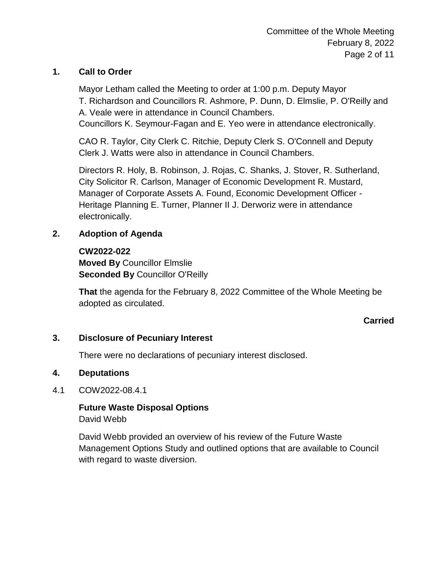# **1. Call to Order**

Mayor Letham called the Meeting to order at 1:00 p.m. Deputy Mayor T. Richardson and Councillors R. Ashmore, P. Dunn, D. Elmslie, P. O'Reilly and A. Veale were in attendance in Council Chambers.

Councillors K. Seymour-Fagan and E. Yeo were in attendance electronically.

CAO R. Taylor, City Clerk C. Ritchie, Deputy Clerk S. O'Connell and Deputy Clerk J. Watts were also in attendance in Council Chambers.

Directors R. Holy, B. Robinson, J. Rojas, C. Shanks, J. Stover, R. Sutherland, City Solicitor R. Carlson, Manager of Economic Development R. Mustard, Manager of Corporate Assets A. Found, Economic Development Officer - Heritage Planning E. Turner, Planner II J. Derworiz were in attendance electronically.

# **2. Adoption of Agenda**

#### **CW2022-022**

**Moved By** Councillor Elmslie **Seconded By** Councillor O'Reilly

**That** the agenda for the February 8, 2022 Committee of the Whole Meeting be adopted as circulated.

# **Carried**

#### **3. Disclosure of Pecuniary Interest**

There were no declarations of pecuniary interest disclosed.

#### **4. Deputations**

#### 4.1 COW2022-08.4.1

**Future Waste Disposal Options** David Webb

David Webb provided an overview of his review of the Future Waste Management Options Study and outlined options that are available to Council with regard to waste diversion.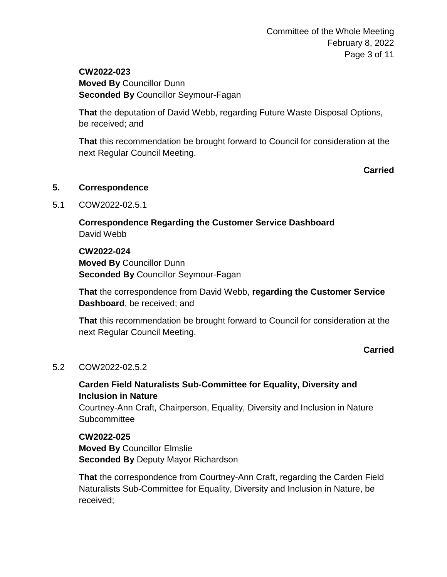Committee of the Whole Meeting February 8, 2022 Page 3 of 11

**CW2022-023 Moved By** Councillor Dunn **Seconded By** Councillor Seymour-Fagan

**That** the deputation of David Webb, regarding Future Waste Disposal Options, be received; and

**That** this recommendation be brought forward to Council for consideration at the next Regular Council Meeting.

**Carried**

#### **5. Correspondence**

5.1 COW2022-02.5.1

**Correspondence Regarding the Customer Service Dashboard** David Webb

**CW2022-024 Moved By** Councillor Dunn **Seconded By** Councillor Seymour-Fagan

**That** the correspondence from David Webb, **regarding the Customer Service Dashboard**, be received; and

**That** this recommendation be brought forward to Council for consideration at the next Regular Council Meeting.

#### **Carried**

#### 5.2 COW2022-02.5.2

# **Carden Field Naturalists Sub-Committee for Equality, Diversity and Inclusion in Nature**

Courtney-Ann Craft, Chairperson, Equality, Diversity and Inclusion in Nature **Subcommittee** 

**CW2022-025 Moved By** Councillor Elmslie **Seconded By** Deputy Mayor Richardson

**That** the correspondence from Courtney-Ann Craft, regarding the Carden Field Naturalists Sub-Committee for Equality, Diversity and Inclusion in Nature, be received;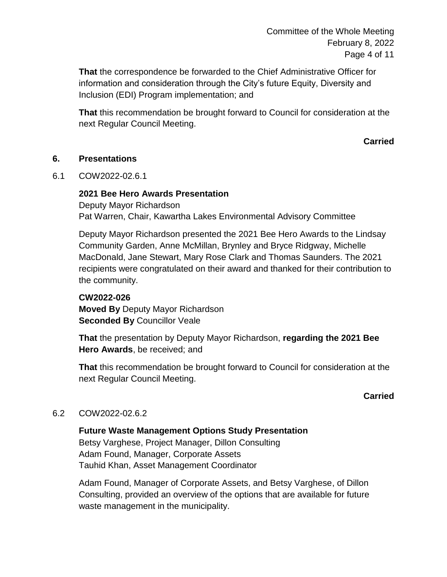**That** the correspondence be forwarded to the Chief Administrative Officer for information and consideration through the City's future Equity, Diversity and Inclusion (EDI) Program implementation; and

**That** this recommendation be brought forward to Council for consideration at the next Regular Council Meeting.

**Carried**

# **6. Presentations**

6.1 COW2022-02.6.1

# **2021 Bee Hero Awards Presentation**

Deputy Mayor Richardson Pat Warren, Chair, Kawartha Lakes Environmental Advisory Committee

Deputy Mayor Richardson presented the 2021 Bee Hero Awards to the Lindsay Community Garden, Anne McMillan, Brynley and Bryce Ridgway, Michelle MacDonald, Jane Stewart, Mary Rose Clark and Thomas Saunders. The 2021 recipients were congratulated on their award and thanked for their contribution to the community.

#### **CW2022-026**

**Moved By** Deputy Mayor Richardson **Seconded By** Councillor Veale

**That** the presentation by Deputy Mayor Richardson, **regarding the 2021 Bee Hero Awards**, be received; and

**That** this recommendation be brought forward to Council for consideration at the next Regular Council Meeting.

# **Carried**

# 6.2 COW2022-02.6.2

**Future Waste Management Options Study Presentation** Betsy Varghese, Project Manager, Dillon Consulting Adam Found, Manager, Corporate Assets Tauhid Khan, Asset Management Coordinator

Adam Found, Manager of Corporate Assets, and Betsy Varghese, of Dillon Consulting, provided an overview of the options that are available for future waste management in the municipality.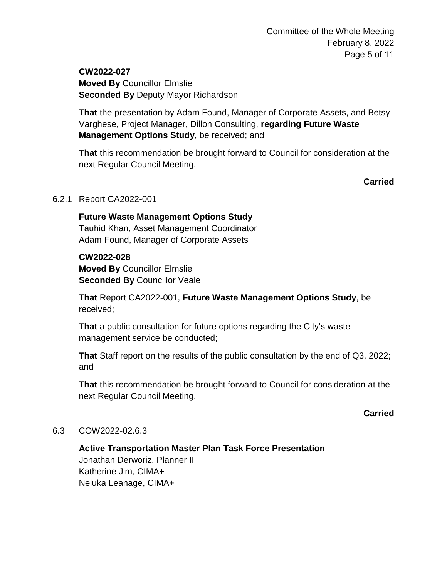**CW2022-027 Moved By** Councillor Elmslie **Seconded By** Deputy Mayor Richardson

**That** the presentation by Adam Found, Manager of Corporate Assets, and Betsy Varghese, Project Manager, Dillon Consulting, **regarding Future Waste Management Options Study**, be received; and

**That** this recommendation be brought forward to Council for consideration at the next Regular Council Meeting.

**Carried**

# 6.2.1 Report CA2022-001

**Future Waste Management Options Study** Tauhid Khan, Asset Management Coordinator Adam Found, Manager of Corporate Assets

#### **CW2022-028**

**Moved By** Councillor Elmslie **Seconded By Councillor Veale** 

**That** Report CA2022-001, **Future Waste Management Options Study**, be received;

**That** a public consultation for future options regarding the City's waste management service be conducted;

**That** Staff report on the results of the public consultation by the end of Q3, 2022; and

**That** this recommendation be brought forward to Council for consideration at the next Regular Council Meeting.

**Carried**

#### 6.3 COW2022-02.6.3

**Active Transportation Master Plan Task Force Presentation** Jonathan Derworiz, Planner II Katherine Jim, CIMA+ Neluka Leanage, CIMA+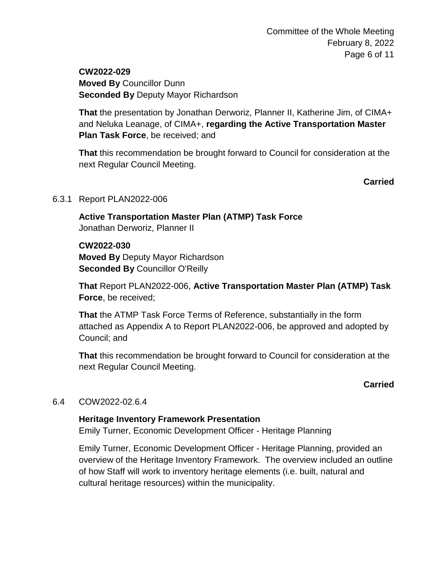**CW2022-029 Moved By** Councillor Dunn **Seconded By** Deputy Mayor Richardson

**That** the presentation by Jonathan Derworiz, Planner II, Katherine Jim, of CIMA+ and Neluka Leanage, of CIMA+, **regarding the Active Transportation Master Plan Task Force**, be received; and

**That** this recommendation be brought forward to Council for consideration at the next Regular Council Meeting.

#### **Carried**

#### 6.3.1 Report PLAN2022-006

**Active Transportation Master Plan (ATMP) Task Force** Jonathan Derworiz, Planner II

#### **CW2022-030**

**Moved By** Deputy Mayor Richardson **Seconded By** Councillor O'Reilly

**That** Report PLAN2022-006, **Active Transportation Master Plan (ATMP) Task Force**, be received;

**That** the ATMP Task Force Terms of Reference, substantially in the form attached as Appendix A to Report PLAN2022-006, be approved and adopted by Council; and

**That** this recommendation be brought forward to Council for consideration at the next Regular Council Meeting.

#### **Carried**

#### 6.4 COW2022-02.6.4

#### **Heritage Inventory Framework Presentation**

Emily Turner, Economic Development Officer - Heritage Planning

Emily Turner, Economic Development Officer - Heritage Planning, provided an overview of the Heritage Inventory Framework. The overview included an outline of how Staff will work to inventory heritage elements (i.e. built, natural and cultural heritage resources) within the municipality.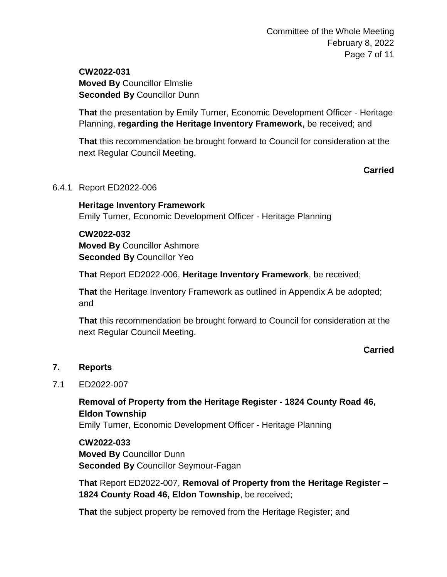# **CW2022-031 Moved By** Councillor Elmslie **Seconded By** Councillor Dunn

**That** the presentation by Emily Turner, Economic Development Officer - Heritage Planning, **regarding the Heritage Inventory Framework**, be received; and

**That** this recommendation be brought forward to Council for consideration at the next Regular Council Meeting.

**Carried**

#### 6.4.1 Report ED2022-006

**Heritage Inventory Framework** Emily Turner, Economic Development Officer - Heritage Planning

# **CW2022-032**

**Moved By** Councillor Ashmore **Seconded By** Councillor Yeo

**That** Report ED2022-006, **Heritage Inventory Framework**, be received;

**That** the Heritage Inventory Framework as outlined in Appendix A be adopted; and

**That** this recommendation be brought forward to Council for consideration at the next Regular Council Meeting.

# **Carried**

# **7. Reports**

# 7.1 ED2022-007

# **Removal of Property from the Heritage Register - 1824 County Road 46, Eldon Township**

Emily Turner, Economic Development Officer - Heritage Planning

# **CW2022-033 Moved By** Councillor Dunn **Seconded By** Councillor Seymour-Fagan

**That** Report ED2022-007, **Removal of Property from the Heritage Register – 1824 County Road 46, Eldon Township**, be received;

**That** the subject property be removed from the Heritage Register; and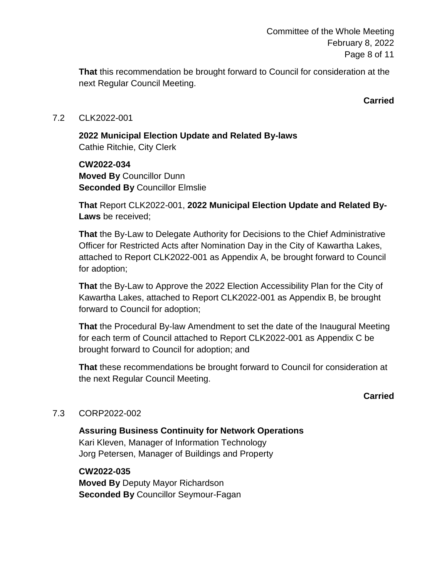Committee of the Whole Meeting February 8, 2022 Page 8 of 11

**That** this recommendation be brought forward to Council for consideration at the next Regular Council Meeting.

**Carried**

#### 7.2 CLK2022-001

**2022 Municipal Election Update and Related By-laws**  Cathie Ritchie, City Clerk

**CW2022-034 Moved By** Councillor Dunn **Seconded By** Councillor Elmslie

**That** Report CLK2022-001, **2022 Municipal Election Update and Related By-Laws** be received;

**That** the By-Law to Delegate Authority for Decisions to the Chief Administrative Officer for Restricted Acts after Nomination Day in the City of Kawartha Lakes, attached to Report CLK2022-001 as Appendix A, be brought forward to Council for adoption;

**That** the By-Law to Approve the 2022 Election Accessibility Plan for the City of Kawartha Lakes, attached to Report CLK2022-001 as Appendix B, be brought forward to Council for adoption;

**That** the Procedural By-law Amendment to set the date of the Inaugural Meeting for each term of Council attached to Report CLK2022-001 as Appendix C be brought forward to Council for adoption; and

**That** these recommendations be brought forward to Council for consideration at the next Regular Council Meeting.

#### **Carried**

#### 7.3 CORP2022-002

**Assuring Business Continuity for Network Operations** Kari Kleven, Manager of Information Technology Jorg Petersen, Manager of Buildings and Property

#### **CW2022-035**

**Moved By** Deputy Mayor Richardson **Seconded By** Councillor Seymour-Fagan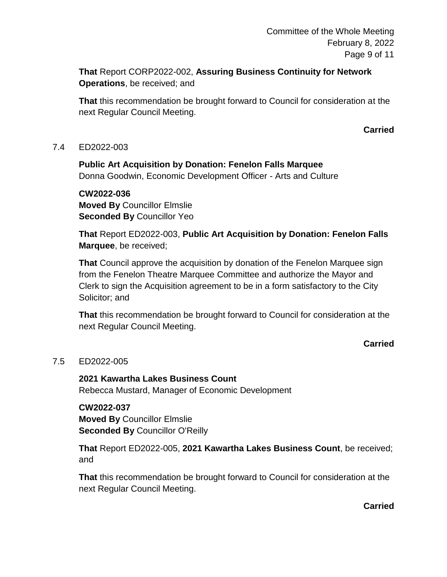**That** Report CORP2022-002, **Assuring Business Continuity for Network Operations**, be received; and

**That** this recommendation be brought forward to Council for consideration at the next Regular Council Meeting.

#### **Carried**

#### 7.4 ED2022-003

**Public Art Acquisition by Donation: Fenelon Falls Marquee** Donna Goodwin, Economic Development Officer - Arts and Culture

**CW2022-036 Moved By** Councillor Elmslie **Seconded By** Councillor Yeo

**That** Report ED2022-003, **Public Art Acquisition by Donation: Fenelon Falls Marquee**, be received;

**That** Council approve the acquisition by donation of the Fenelon Marquee sign from the Fenelon Theatre Marquee Committee and authorize the Mayor and Clerk to sign the Acquisition agreement to be in a form satisfactory to the City Solicitor; and

**That** this recommendation be brought forward to Council for consideration at the next Regular Council Meeting.

# **Carried**

#### 7.5 ED2022-005

**2021 Kawartha Lakes Business Count** Rebecca Mustard, Manager of Economic Development

# **CW2022-037**

**Moved By** Councillor Elmslie **Seconded By** Councillor O'Reilly

**That** Report ED2022-005, **2021 Kawartha Lakes Business Count**, be received; and

**That** this recommendation be brought forward to Council for consideration at the next Regular Council Meeting.

**Carried**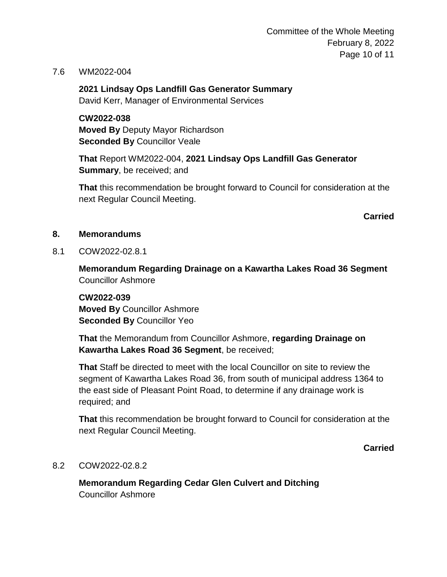Committee of the Whole Meeting February 8, 2022 Page 10 of 11

7.6 WM2022-004

**2021 Lindsay Ops Landfill Gas Generator Summary** David Kerr, Manager of Environmental Services

**CW2022-038 Moved By** Deputy Mayor Richardson **Seconded By** Councillor Veale

**That** Report WM2022-004, **2021 Lindsay Ops Landfill Gas Generator Summary**, be received; and

**That** this recommendation be brought forward to Council for consideration at the next Regular Council Meeting.

**Carried**

- **8. Memorandums**
- 8.1 COW2022-02.8.1

**Memorandum Regarding Drainage on a Kawartha Lakes Road 36 Segment** Councillor Ashmore

**CW2022-039 Moved By** Councillor Ashmore **Seconded By** Councillor Yeo

**That** the Memorandum from Councillor Ashmore, **regarding Drainage on Kawartha Lakes Road 36 Segment**, be received;

**That** Staff be directed to meet with the local Councillor on site to review the segment of Kawartha Lakes Road 36, from south of municipal address 1364 to the east side of Pleasant Point Road, to determine if any drainage work is required; and

**That** this recommendation be brought forward to Council for consideration at the next Regular Council Meeting.

**Carried**

#### 8.2 COW2022-02.8.2

**Memorandum Regarding Cedar Glen Culvert and Ditching** Councillor Ashmore